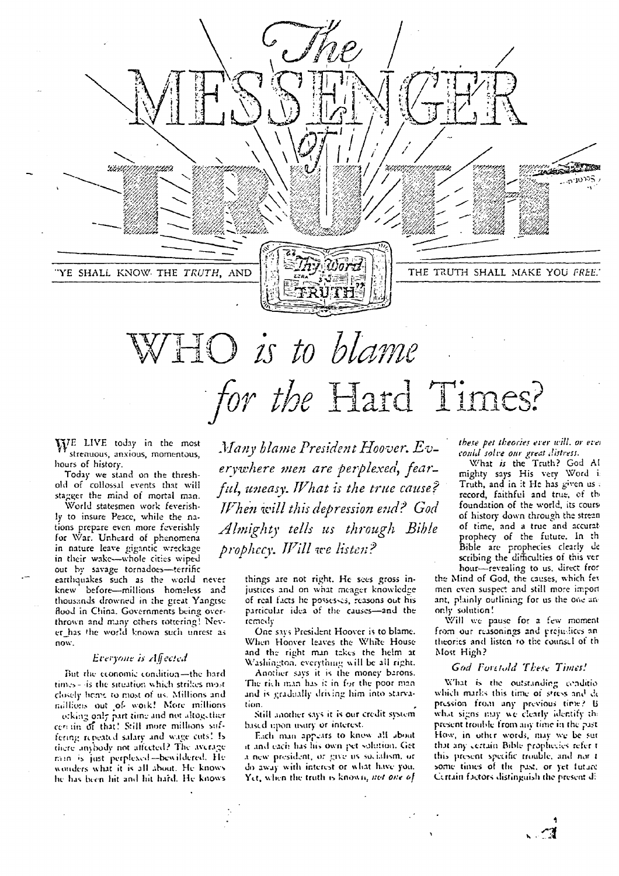

# WHO *is to blame for the Hard Times?*

 $W_E$  LIVE today in the most strenuous, anxious, momentous, hours of history.

Today we stand on the threshold of collossal events that will stagger the mind of mortal man.

World statesmen work feverishly to insure Peace, while the nations prepare even more feverishly for War. Unheard of phenomena in nature leave gigantic wreckage in their wake—whole cities wiped out by savage tornadoes—terrific

earthquakes such as the world never knew before—millions homeless and thousands drowned in the great Yangtsc flood in China. Governments being overthrown and many others tottering! Never\_has the world known such unrest as now.

#### *Everyone is Alfected*

But the economic condition—the hard times - -is the situation which strikes most closely herrc ro most of us. Millions and millions out .of. work! More millions orking only part time and not altogether cert tin *tjf* that! Still more millions suffering rcociatcd salary and wage cub! b there anybody not affected? The average min is just perplexed-bewildered. He wonders what it is all about. He knows he has been hit and hit hard. He knows

*Many blame President Hoover. Ev*erywhere men are perplexed, fear*ful, uneasy. What is the true cause'? When this depression end? God Almighty tells us through Bible prophecy. 177ill we listen?*

> things are not right. He sees gross injustices and on what meager knowledge of real facts he possesses, reasons out his particular idea of the causes—and the remedy

One says President Hoover is to blame. When Hoover leaves the White House and the right man takes the helm at Washington, everything will be all right.

Another *says* it is the money barons. The rich man has it in for the poor man and is gradually tins *:rig* him into starvation.

Still another says it is our credit system based upon usury or interest.

Each man appears to know all about it and each has his own pet solution. Get a new president, or give us socialism, or do away with interest or what have you. Yct, when the truth is known, *not one of* 

*there pet theories ever will. or eve, could solve our great distress.*

What *is* the Truth? God Al mighty says His very Word I Truth, and in it He has given us record, faithful and true, of th, foundation of the world, its cours of history down through the strean of time, and a true and accurat prophecy of the future. In th Bible are prophecies clearly de scribing the difficulties of this ver hour—revealing to us, direct fror

the Mind of God, the causes, which fet men even suspect and still more import ant, plainly outlining for us the one anonly solution!

Will we pause for a few moment from our reasonings and prejudices an theories and listen ro the counsel of th Most High?

#### *God Foretold These Times!*

'What is the outstanding conditio which marks this time of stress and de pression from any previous time? B what signs may we clearly identify the present trouble from any time in the past How, in other words, may we be sur that any certain Bible prophecies refer t this present specific trouble, and nor i some times of the past, or yet lutace Ccrtain factors distinguish the present

*A •*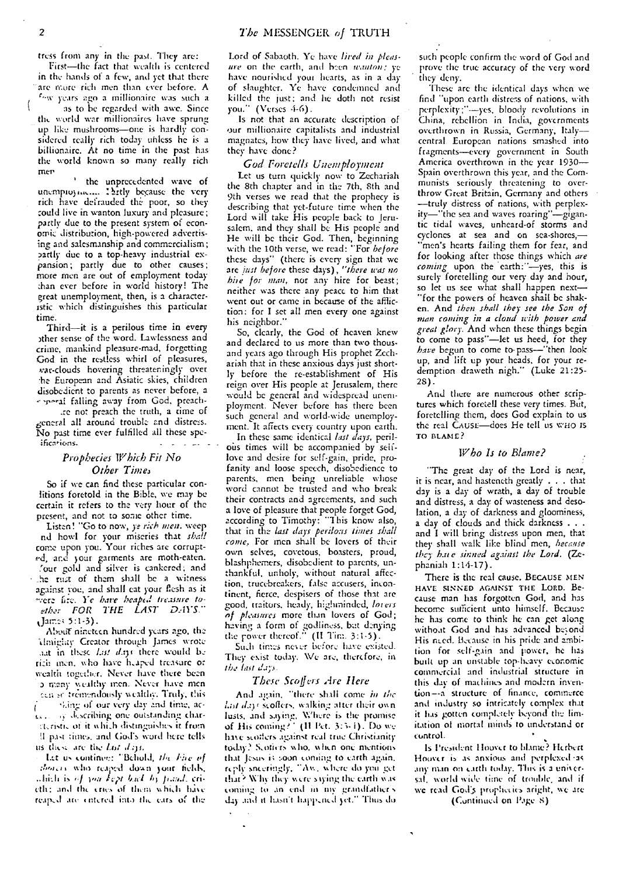tress from any in the past. They are:

First—the fact that wealth is centered in the hands of a few, and yet that there are more rich men than ever before. A years *ago* a millionaire was such a

as to he regarded with awe. Since the world war millionaires have sprung up like mushrooms—one is hardly considered really rich today unless he is a billionaire. At no time in the past has the world known so many really rich men

' the unprecedented wave of unempioyme.... Thirtly because the very rich have defrauded the. poor, so they 'could live in wanton luxury and pleasure; partly due to the present system of economic distribution, high-powered advertising and salesmanship and commercialism; partly due to a top-heavy industrial expansion; partly due to other causes; more men are out of employment today :han ever before in world history! The great unemployment, then, is a characteristic which distinguishes this particular time.

Third—it is a perilous time in every ather sense of the word. Lawlessness and crime, mankind pleasure-mad, forgetting God in the restless whirl of pleasures, war-clouds hovering threateningly over lie European and Asiatic skies, children disobedient to parents as never before, a reporal falling away from God, preach-

.re not preach the truth, a rime of general all around trouble and distress. No past time ever fulfilled all these speificarions.

#### *Prophecies Which Fit No* **Other Times**

So if we can find these particular conlitions foretold in the Bible, we may be certain it refers to the very hour of the present, and not to some other time.

Listen! "Go to now, ye rich men. weep nd howl for your miseries that *shall* come upon you. Your riches arc corrupted, and your garments are moth-eaten. 'our gold and silver is cankered; and \_he rust of them shall be a witness against you, and shall eat your flesh as it evere fire. *Ye have heap6.1 treasure to*ether FOR THE LAST DAYS."  $J$ am::: 5:1-3).

Abotif nineteen hundred years ago, the 'Umighty Creator through James wrote ant in these Lat days there would be rich men, who have heaped treasure or wealth together. Never have there been a many wealthy men. Never have men can seltremendously wealthy. Truly, this

•4.in• of our very day end time, ac- $\mathbf{I}$  $t_{\rm s}$ .  $\sqrt{s}$  describing one outstanding charsteristic of it which distinguishes it from !I past times. and God's word here tells us these are the *Lbt* days.

1.t.'t us continee: -Behold, *of* showers who reaped down your fields,<br>which is of you kept back by fraud, eri-*(t, ristic of it which distinguishes it from*<br> *II past times, and God's word here tells*<br>
and these are the *last days*<br> *- Let us continue: "Behold, the Fire of*<br> *dines* who reaged down your fields,<br> *dinet* is *of you* reaped are entered into the ears of the

Lord of Sabaoth. Ye have *lived in pleasure* on the earth, and been *wanton*; ye have nourished your hearts, as in a dayof slaughter. Ye have condemned and killed the just; and he doth not resist you." (Verses 4-6).

Is not that an accurate description of Our millionaire capitalists and industrial magnates, how they have lived, and what they have done?

#### *God Foretells Unemployment*

Let us turn quickly now to Zechariah the 8th chapter and in the 7th, 8th and 9th verses we read that the prophecy is describing that yet-future time when the Lord will take His people back to Jerusalem, and they shall be His people and He will be their God. Then, beginning with the 10th verse, we read: "For *before* these days" (there is every sign that we are *just before* these days), *"there was no hire for man,* nor any hire for beast; neither was there any peace to him that went out or came in because of the affliction: for I set all men every one against his neighbor."

So, clearly, the God of heaven knew and declared to us more than two thousand years ago through His prophet Zechariah that in these anxious days just shortly before the re-establishment of His reign over His people at Jerusalem, there would be general and widespread unemployment. Never before has there been such general and world-wide unemployment. It affects every country upon earth.

In these same identical *last days,* perilous times will be accompanied by selflove and desire for self-gain, pride, profanity and loose speech, disobedience to parents, men being unreliable whose word cannot be trusted and who break their contracts and agreements, and such a love of pleasure that people forget God, according to Timothy: "This know also, that in the *last days perilous times shall come.* For men shall be lovers of their own selves, covetous, boasters, proud, blashphemers, disobedient to parents, unthankful. unholy, without natural affection, trucebreakers, false accusers, incontinent, fierce, despisers of those that arc good, traitors, heady, higlninded, *Inters nf pleasures-* more than lovers of God; having a form of godliness, bat denying the power thereof."  $(II$  Tim. 3:1-5).

Such times never before have existed. They exist today. We are, therefore, in *the last dap.*

#### *These Scoffurs Are Here*

And again, "there shall come in the List days scoffers, walking atter their own lusts, and saying, Where is the promise of His coming?' (II Pet. 3:3-1). Do we have scotters against real true Christianity today? S.otiers who, w hen one mentions that Jesus is soon corning *to* earth again, ic ily sneeringly, "Ass, what: do you *get* that? Why they were saying the earth was coming to an end in my grandfather's day and it hasn't happened yet." Thus do

such people- confirm the word of God and prove the true accuracy of the very word they deny.

These arc the identical days when we find "upon earth distress of nations, with perplexity;"-yes, bloody revolutions in China, rebellion in India, governments overthrown in Russia, Germany, Italy central European nations smashed into fragments—every government in South America overthrown in the year 1930— Spain overthrown this year, and the Communists seriously threatening to overthrow Great Britain, Germany and others —truly distress of nations, with perplexity—"the sea and waves roaring"—gigantic tidal waves, unheard-of storms and cyclones at sea and on sea-shores,men's hearts failing them for fear, and for looking after those things which *are coming* upon the earth:"—yes, this is surely foretelling our very day and hour, so let us see what shall happen next— "for the powers of heaven shall be shak**en.** And *then shall they- see the Son of man coming in a cloud with power and great glory.* And when these things begin to come to pass"—let us heed, for they *have* begun to come to-pass—"then look up, and lift up your heads, for your redemption draweth nigh." (Luke 21:25- 2S).

And there are numerous other scriptures which foretell these very times. But, foretelling them, does God explain to us the real CAUSE—does He tell us who is TO BLAME?

#### *Who Is to Blame?*

"The great day of the Lord is near, it is near, and hasteneth greatly . . . that day is a day of wrath, *a* day of trouble and distress, a day of wasteness and desolation, a day of darkness and gloominess, a day of clouds and thick darkness .. . and I will bring distress upon men, that they shall walk like blind men, *because they hate sinned against the Lord.* (Zephaniah 1:14-17).

There is the real cause. BECAUSE MEN HAVE SINNED AGAINST THE LORD. Because man has forgotten God, and has become sufficient unto himself. Because he has come to think he can get along without God and has advanced beyond His need. Because in his pride and ambition for self-gain and power, he has built up an unstable top-heavy economic commercial and industrial structure in this day of machines and modern invention--a structure of finance, commerce and industry so intricately complex that it has gotten completely beyond the limitation of mortal minds to understand or control.

Is President llourcr to blame? Herbert Hoover is as anxious and perplexed -as any man on carth today. This is a eniversal. world wide time of trouble, and if we read God's prophecies aright, we are

(Continued on Page 8)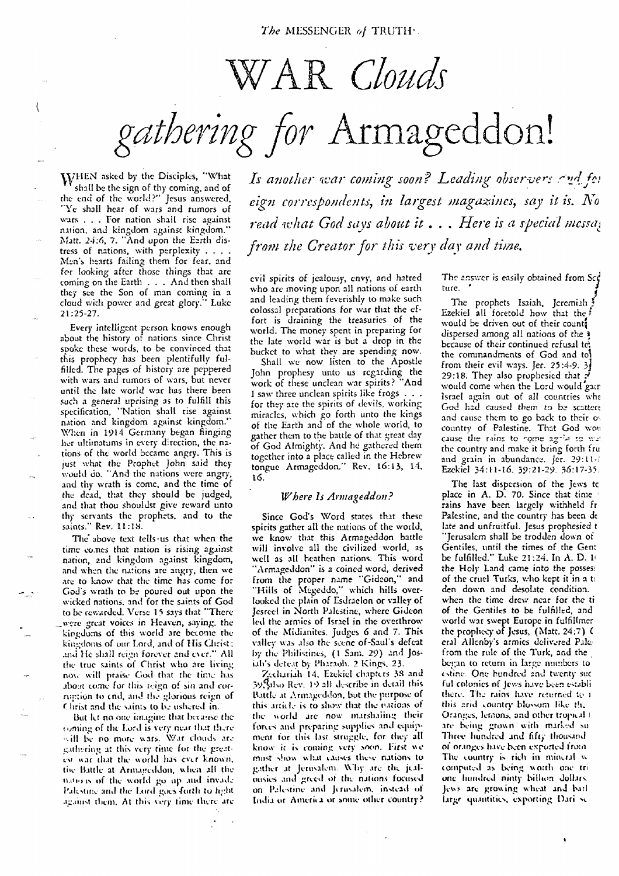# WA *Clouds*

*gathering* Armageddon!

WHEN asked by the Disciples, "What<br>Shall be the sign of thy coming, and of shall be the sign of thy coming, and of the end of the world?" Jesus answered, "Ye shall hear of wars and rumors of wars . .. For nation shall rise against nation, and kingdom against kingdom." Matt. 24:6, 7. "And upon the Earth distress of nations, with perplexity . . . . Men's hearts failing them for fear, and *fer* looking after those things that are coming on the Earth . . . And then shall they see the Son of man coming in a cloud with power and great glory." Luke 21:25-27.

Every intelligent person knows enough about the history of nations since Christ spoke these words, to be convinced that this prophecy has been plentifully fulfilled. The pages of history are peppered with wars and rumors of wars, but never until the late world war has there been such a general uprising as to fulfill this specification, "Nation shall rise against nation and kingdom against kingdom." When in 1914 Germany began flinging her ultimatums in every direction, the nations of the world became angry. This is just what the Prophet John said they would do. "And the nations were angry, and thy wrath is come, and the time of the dead, that they should be judged, and that thou shouldst give reward unto thy servants the prophets, and to the saints." Rev. 11:18.

The above text tells-us that when the time *cones* that nation is rising against nation, and kingdom against kingdom, and when the nations arc angry, then we are to know that the time has come for *God's* wrath to be poured out upon the wicked nations. and for the saints of God to be rewarded. Verse 15 says that "There \_were great voices in Heaven, saying, the kingdoms of this world are become the kingdoms of our Lord, and of His Christ: and He shall reign forever and ever." All the true saints of Christ who are living now will praise God that the time has boat tome for this *reign* of sin and *cur*roption to end, and the glorious reign of Christ and the saints to be ushered in.

But let no one imagine that because the taming of the Lord is very near that there will be no more wars. War clouds are gathering at this very time for the greatesi %%at that the world has ever known, the Battle at Armageddon, when all the tun., Is of the world **go** *tip* and invade Pakstine and the Lord goes forth to fight against them. At this very time there are Is another war coming soon? Leading observers and for *ciao correspondents, in largest magazines, say it is. No read what God says about it . . • Here is a special messa,: from the Creator for this very day and time.*

evil spirits of jealousy, envy, and hatred who are moving upon all nations of earth and leading them feverishly to make such colossal preparations for war that the effort is draining the treasuries of the world. The money spent in preparing for the late world war is but a drop in the bucket to what they are spending now.

Shall we now listen to the Apostle John prophesy unto us regarding the work of these unclean war spirits? "And I saw three unclean spirits like frogs . . . for they are the spirits of devils, working miracles, which go forth unto the kings of the Earth and of the whole world, to gather them to the battle of that great day of God Almighty. And he gathered them together into a place called in the Hebrew tongue Armageddon." Rev. 16:13, 14. 16.

#### *Where Is Armageddon?*

Since God's Word states that these spirits gather all the nations of the world, we know that this Armageddon battle will involve all the civilized world, as well as all heathen nations. This word "Armageddon" is a coined word, derived from the proper name "Gideon," and "Hills of Megeddo," which hills overlooked the plain of Esdraelon or valley of Jested in North Palestine, where Gideon led the armies of Israel in the overthrow of the Midianites. Judges 6 and 7. This valley was *also* the scene of-Saul's defeat by the Philistines, (I Sam. 29) and Josiah's detect by Pharaoh. 2 Kings. 23.

"Zechariah 14, Ezekiel chapters 38 and 341,0 Rev. 19 all describe in detail this Battle at Armageddon, but the purpose of this article is to show that the nations of the world are now marshaling their forces and preparing supplies and equipment for *this* last struggle, for the; all know it is coming very soon. First we must show what causes these nations to gather at Jerusalem. Why are the jealousies and greed of the nations focused on Palestine and Jerusalem. instead of India or America or borne other country?

The answer is easily obtained from  $Sc<sub>f</sub>$ ture.

*J* The prophets Isaiah, Jeremiah Ezekiel all foretold how that the. would be driven out of their count dispersed among all nations of the because of their continued refusal te, the commandments of God and to! from their evil ways. *Jer.* 25:4-9. 3 29:18. They also prophesied that would come when the Lord would gate Israel again out of all countries whe God had caused them to be scattert and cause them to go back to their ov country of Palestine. That God won cause the rains to come agrile to wai the country and make it bring forth fru and grain in abundance. Jer. 29:11-1 Ezekiel 34:11-16. 39:21-29. 36:17-35.

The last dispersion of the Jews tc place in A. D. 7D. *Since* that time rains have been largely withheld fr Palestine, and the country has been de late and unfruitful. Jesus prophesied t "Jerusalem shall be trodden down of Gentiles, until the times of the Gent be fulfilled." Luke 21:24. In A. D. 1i the Holy Land came *into* the possess of the cruel Turks, who kept it in a ti den down and desolate condition. when the time drew near for the ti of the Gentiles to be fulfilled, and world war swept Europe in fulfillmer the prophecy of Jesus, (Matt. 24:7) ( era! Allenby's armies delivered Pak from the rule of the Turk, and the began to return in large numbers to tstine. One hundred and twenty sec ful colonies of Jews have been establi there. The rains have returned to a this arid country blossom like the Oranges, lemons, and other tropical I are being grown with marked su-Three hundred and fifty thousand of oranges have been exported from The country is rich in mineral w computed as being worth one tri one hundred ninty billion dollars. Jews are growing wheat and bail large quantities, exporting Dari se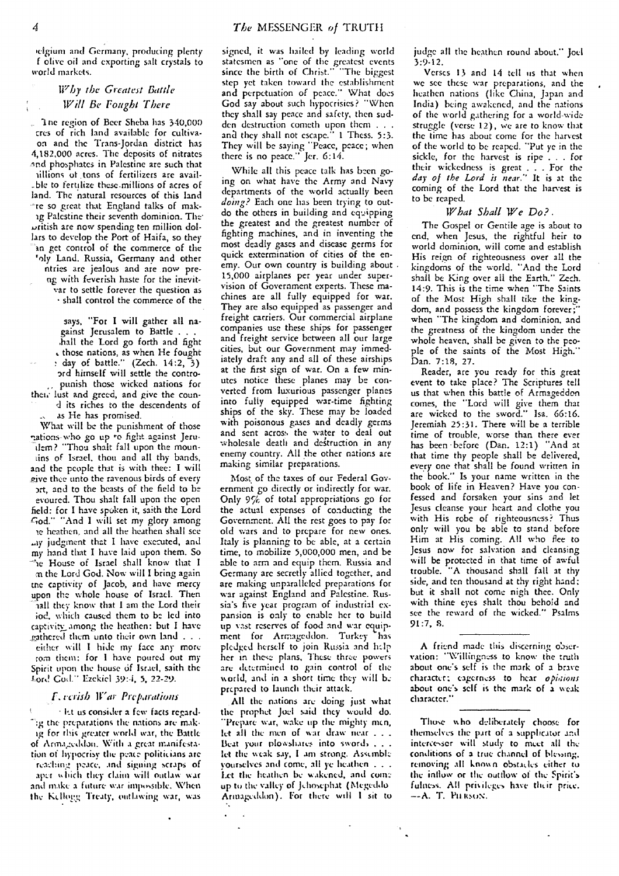ielgium and Germany, producing plenty f olive oil and exporting salt crystals to world markets.

#### *Why the Greatest Battle Will Be Fought There*

'Inc region of Bccr Sheba has 340,000 cres of rich land available for cultivaon and the Trans-Jordan district has 4,182,000 acres. The deposits of nitrates and phosphates in Palestine are such that nillions of tons of fertilizers are avail-\_ble to fertilize these.millions of acres of land. The natural resources of this land re so great that England talks of makag Palestine their seventh dominion. The oritish are now spending ten million dollars to develop the Port of Haifa, so they an get control of the commerce of the roly Land. Russia, Germany and other ntries are jealous and are now preng with feverish haste for the inevitvar to settle forever the question as shall control the commerce of the

says, "For I will gather all nagainst Jerusalem to Battle . . . .hall the Lord go forth and fight those nations, as when He fought day of battle." (Zech. 14:2, 3) ord himself will settle the contropunish those wicked nations for then- lust and greed, and give the cound its riches to the descendents of as He has promised.

What will be the punishment of those nations-who go up to fight against Jeru-.dem? "Thou shalt fall upon the mooniins of Israel. thou and all thy bands, and the people that is with thee: I will give thee unto the ravenous birds of every art, and to the beasts of the field to be evoured. Thou shalt fall upon the open field: for I have spoken it, saith the Lord -c,od." "And I will set my glory among le heathen, and all the heathen shall see .ay judgment that I have executed, and my hand that I have laid upon them. So House of Israel shall know that I m the Lord God. Now will I bring again me captivity of Jacob, and have mercy upon the whole house of Israel. Then \_ hall they know that I am the Lord their jod, which caused them to be led into captivity among the heathen: but I have gathered them unto their own land  $\ldots$ 

either will I hide my face any more tom them: for I have poured out my-Spirit upon the house of Israel, saith the Lord Cod." Ezekiel 39:4, 5, 22-29.

#### *F.: Irish* War *Preparations*

let us consider a few• facts regard-"ig the preparations the nations are makig for this greater world war, the Battle of Armageddon. With a great manifestation of hypocrisy the peace politicians are reaching peace, and signing scraps of

aper which they claim will outlaw war and mike a future war impossible. When the Kellogg Treaty, outlawing war, was signed, it was hailed by leading world statesmen as "one of the greatest events since the birth of Christ." "The biggest step yet taken toward the establishment and perpetuation of peace." What does God say about such hypocrisies? "When they shall say peace and safety, then sudden destruction cometh upon them . . and they shall not escape." 1 Thess. 5:3. They will be saying "Peace, peace; when there is no peace." Jer. 6:14.

While all this peace talk has been going on what have the Army and Navy departments of the world actually been *doing?* Each one has been trying to outdo the others in building and eqoipping the greatest and the greatest number of fighting machines, and in inventing the most deadly gases and disease germs for quick extermination of cities of the enemy. Our own country *is* building about 15,000 airplanes per year under supervision of Government experts. These machines are all fully equipped for war. They are also equipped as passenger and freight carriers. Our commercial airplane companies use these ships for passenger and freight service between all our large cities, but our Government may immediately draft any and all of these airships at the first sign of war. On a few minutes notice these planes may be converted from luxurious passenger planes into fully equipped war-time fighting ships of the sky. These may be loaded with poisonous gases and deadly germs and sent across the water to deal out wholesale death and destruction in any enemy country. All the other nations are making similar preparations.

Most of the taxes of our Federal Government go directly or indirectly for war. Only 9% of total appropriations go for the actual expenses of conducting the Government. All the rest goes to pay for old wars and to prepare for new ones. Italy is planning to be able, at a certain time, to mobilize 5,000,000 men, and be able to arm and equip them. Russia and Germany arc secretly allied together, and are making unparalleled preparations for war against England and Palestine. Russia's five year program of industrial expansion is only to enable her to build up vast reserves of food and war equipment for Armageddon. Turkey has pledged herself to join Russia and help her in these plans, These three powers are determined to gain control of the world, and in a short time they will be prepared to launch their attack.

All the nations are doing just what the prophet Joel said they would do. "Prepare war, wake up the mighty men, let all the men of war draw near . . . Beat your plowshares into swords . . . let the weak say, I am strong. Assemble yourselves and come, all ye heathen .. . Let the heathen be wakened, and come up to the valley of Jehosephat (MegecIdo Armageddon). For there will I sit to

judge all the heathen round about." Joel  $3:9:12.$ 

Verses 13 and 14 tell us that when we see these war preparations, and the heathen nations (like China, Japan and India) being awakened, and the nations of the world gathering for a world-wide struggle (verse 12), *we* are to know that the time has about come for the harvest of the world to be reaped. "Put ye in the sickle, for the harvest is ripe . . . for their wickedness is great . . For the *day of the Lord it near."* It is at the coming of the Lord that the harvest is to be reaped.

#### *What Shall We Do?.*

The Gospel or Gentile age is about to end, when Jesus, the rightful heir to world dominion, will come and establish His reign of righteousness over all the kingdoms of the world. "And the Lord shall be King over all the Earth." Zech. 14:9. This is the time when "The Saints of the Most High shall tike the kingdom, and possess the kingdom forever; when "The kingdom and dominion, and the greatness of the kingdom under the whole heaven, shall be given to the people of the saints of the Most High." Dan. 7:18, 27.

Reader, are you ready for this great event to take place? The Scriptures tell us that when this battle of Armageddon comes, the "Lord will give them that are wicked to the sword." Isa. 66:16. Jeremiah 25:31. There will be a terrible time of trouble, worse than there ever has been -before (Dan. 12:1) "And at that time thy people shall be delivered, every one that shall be found written in the book." Is your name written in the book of life in Heaven? Have you confessed and forsaken your sins and let Jesus cleanse your heart and clothe you with His robe of righteousness? Thus only will you be able to stand before Him at His coming. All who flee to Jesus now for salvation and cleansing will be protected in that time of awful trouble. "A thousand shall fall at thy side, and ten thousand at thy right hand; but it shall not come nigh thee. Only with thine eyes shalt thou behold and see the reward of the wicked." Psalms 91:7, 8.

A friend made this discerning observation: "Willingness to know the truth about one's self is the mark of a brave character; eagerness to hear opinions about one's self is the mark of a weak character."

Those who deliberately choose for themselves the part of a supplicator and intercessor will study to meet all the conditions of a true channel of blessing, removing all known obstacles either to the inflow or the outflow of the Spirit's fulness. All prisileges have their price. --А. <mark>Т. Р</mark>и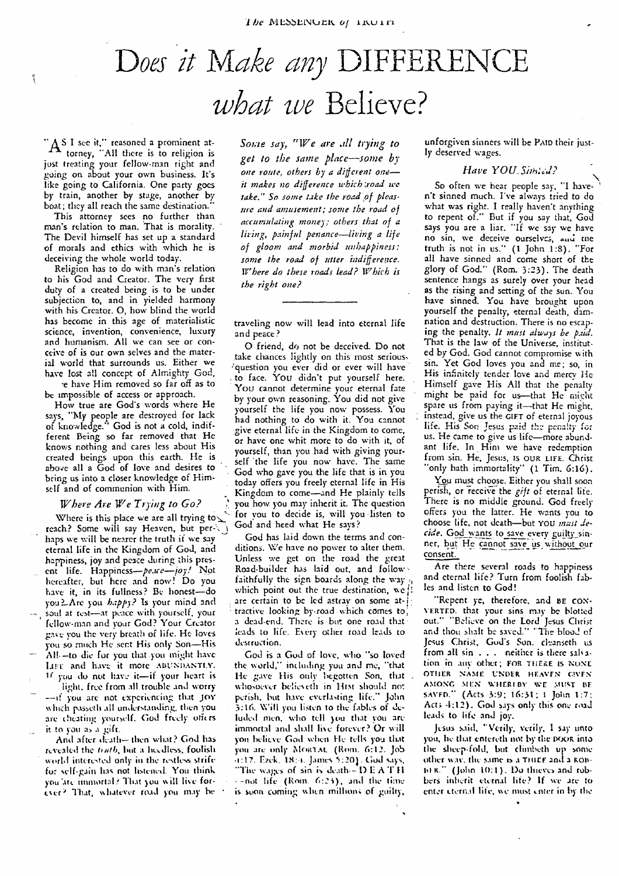## Does it Make any DIFFERENCE *what we* Believe?

A S I see it," reasoned a prominent at-  $\mathbf{A}$  torney, "All there is to religion is just treating your fellow-man right and going on about your own business. It's like going to California. One party goes by train, another by stage, another by boat; they all reach the same destination."

٢

This attorney sees no further than man's relation to man. That is morality. The Devil himself has set up a standard of morals and ethics with which he is deceiving the whole world today.

Religion has to do with man's relation *to* his God and Creator. The very first duty of a created being is to be under subjection to, and in yielded harmony with his Creator. 0, how blind the world has become in this age of materialistic science, invention, convenience, luxury and humanism. All we can see or conceive of is our own selves and the material world that surrounds us. Either we have lost all concept of Almighty God, -e have Him removed so far off as to

be impossible of access or approach.

How true are God's words where He says, "My people are destroyed for lack of knowledge." God is not a cold, indifferent Being so far removed that He knows nothing and cares less about His created beings upon this earth. He is above all a God of love and desires to bring us into a closer knowledge of Himself and of communion with Him.

#### *Where Are We Trying to Go?*

Where is this place we are all trying to  $\leq$ reach? Some will say Heaven, but perhaps we will be nearer the truth if we say eternal life in the Kingdom of God, and happiness, joy and peace during this present life. Happiness—peace—joy! Not hereafter, but here and now! Do you have it, in its fullness? Be honest—do you a-Are you *happy?* Is your mind and soul at rest—at peace with yourself, your fellow-man and your God? Your Creator gave you the very breath of life. He loves you so much He sent His only Son—His AM —to die fur you that you might have het! and have *it* more ABUNDANTLY. 'if you do nut have- it—if your heart is light. free from all trouble and worry

—if you are not experiencing that JOY which passeth all understanding, then you are cheating yourself. God freely offers it to you as a gift.

And after death— then what? God has revealed the *trath*, but a heedless, foolish world interested only in the restless strife for self-pin has not listened. You think you 'are immortal? That you w ill live forever`' That, whatever road you may bc *Some say, "lVe are all trying to get to the same place—some by one route, others by a different one it makes no difference which ;road we* take." So some take the road of pleas*ure and amusement; some the road of accumulating money; others that of a living, painful penance—living a life of gloom and morbid unhappiness; some the road of utter indifference. Where do these roads lead? Which is the right one?*

traveling now will lead into eternal life and peace?

0 friend, do not be deceived. Do not take chances lightly on this most serious. question you ever did or ever will have to face. You didn't put yourself here. You cannot determine your eternal fate by your own reasoning. You did not give yourself the life you now possess. You had nothing to do with it. You cannot give eternal life in the Kingdom to come, or have one whit more to do with it, of yourself, than you had with giving yourself the life you now have. The same God who gave you the life that is in you today offers you freely eternal life in His Kingdom to come—and He plainly tells you how you may inherit it. The question for you to decide is, will you listen to God and heed what He says?

God has laid down the terms and conditions. We have no power to alter them. Unless we get on the road the great Road-builder has laid out, and follow faithfully the sign boards along the way which point out the true destination, we *t!* are certain to be led astray on some at-j: tractive looking by-road which comes to; a dead-end. There is but one road that' leads to life. Every other road leads to destruction.

God is a God of love, who "so loved the world," including you and me, "that He *gave* His only begotten Son, that whosoever believeth in Him should not perish. but have everlasting life." John 3:16. Will you listen to the fables of deluded men, who tell you that you are immortal and shall Ilse forever? **Or** will you believe Gad when He tells you that you are only MORTAL (Rom. 6:12. Job Ezek. 18:-i. James 5:201, God says. "The wages of sin is death—DEATH - -not life (Rom. *6:24),* and the time is soon coming when millions of guilty,

unforgivcn sinners will be PAID their justly deserved wages.

#### *Have YOU\_Simical?*

So often we hear people say, "I haven't sinned much. I've always tried to do what was right. I really haven't anything to repent of." But if you say that, God says you are a liar. "If we say we have no sin, we deceive ourselves, and me truth is not in us." (1 John 1:8). "For all have sinned and come short of the glory of God." (Rom. 3:23). The death sentence hangs as surely over your head as the rising and setting of the sun. You have sinned. You have brought upon yourself the penalty, eternal death, damnation and destruction. There is no escaping the penalty. *It must always be paid.* That is the law of the Universe, instituted by God. God cannot compromise with sin. Yet God loves you and me; so, in His infinitely tender love and mercy He Himself gave His All that the penalty might be paid for us-that He might spare us from paying it—that He might, instead, give us the GIFT of eternal joyous life. His Son Jesus paid the penalty *for* us. He came to give us life—more abundant life. In Him *we* have redemption from sin. He, Jesus, Is OUR LIFE. Christ "only bath immortality" (1 Tim. 6:16).

You must choose. Either you shall soon perish, or receive the *gift* of eternal life. There is no middle ground. God freely offers you the latter. He wants you to choose life, not death—but YOU *must de*cide. God wants to save every guilty sinner, but He cannot save us without our consent.

Are there several roads to happiness and eternal life? Turn from foolish fables and listen to God!

"Repent ye, therefore, and BE CON-VERTED. that your sins may be blotted out." "Believe on the Lord Jesus Christ and thou shalt be saved." "The blood of Jesus Christ, God's *Son.* cleanseth is from all sin . . . neither is there salvation in any other; FOR THERE IS NONE OTHER NAME UNDER HEAVEN GIVEN AMONG MEN **V.11ERI BY WE** MUST BE SAVED." (Acts 3:9; 16:31: 1 John 1:7: Act; -1:12). God says only this one road leads to life and joy.

Jesus said. 'Verily, verily, I say unto you, he that entereth not by the noon into the sheep-fold, but dimbeth up some other way, the same is a THIEF and a ROBto R." (John 10:1). Do thieves and robbers inherit eternal life? If we are to enter eternal life, we must enter in by the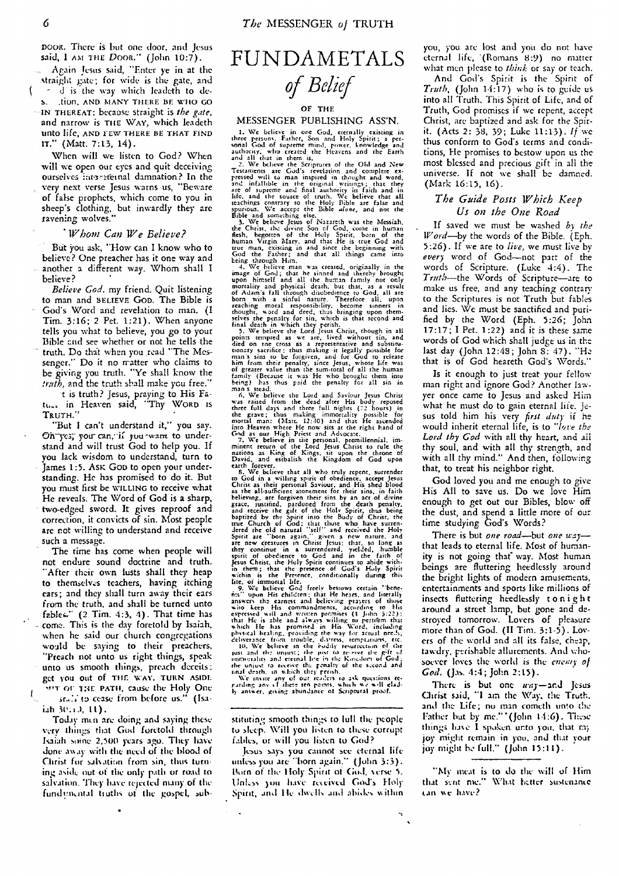DOOR. There is but one door, and Jesus said, I AM THE DOOR." (John 10:7).

.", Again Jesus said, "Enter ye in *at* the straight gate; for wide is the gate, and d is the way which leadeth to de-S. ,tion, AND MANY THERE BE WHO GO – IN THEREAT: because straight is *the gate,* and narrow is THE WAY, which leadeth unto life, AND FEW THERE BE THAT FIND IT." (Matt. 7:13, 14).

When will we listen to God? When will we open our eyes and quit deceiving ourselves intersternal damnation? In the very next verse Jesus warns us, "Beware of false prophets, which come to you in sheep's clothing, but inwardly they are ravening wolves."

#### *Whom Can We Believe?*

But You ask, "How can I know who to believe? One preacher has it one way and another a different way. Whom shall I believe?

*Believe God.* my friend. Quit listening to man and BELIEVE Goo. The Bible is God's Word and revelation to man. (I Tim. 3:16; 2 Pet. 1:21). When anyone tells you what to believe, you go to your Bible and see whether or not he tells the truth. Do that when you ,read "The Messenger." Do it no rratter who claims to be giving you truth. "Ye shall know the *truth,* and the truth shall make you free."

t is truth? Jesus, praying to His Fatu... in Heaven said, "Thy WORD Is TRUTH."

"But I can't understand it," you say. On-yes; you can, if you want to understand and will trust God to help you. If you lack wisdom to understand, turn to James 1:5. ASK GOD to open your understanding. He has promised to do it. But you must first be WILLING to receive what He reveals. The Word of God is *a* sharp, two-edged sword. It gives reproof and correction, it convicts of sin. Most people are not willing to understand and receive such a message.

The time has come when people will not endure sound doctrine and truth. After their own lusts shall they heap **to** themselves teachers, having itching ears; and they shall turn away their ears from the truth, and shall be turned unto fables."  $(2 \text{ Tim. } 4:3, 4)$ . That time has - come. This is the day foretold by Isaiah, when he said our church congregations would be saying **to** their preachers, "Preach not unto us right things, speak unto us smooth things, preach deceits: get you out of THE WAY, TURN ASIDE wit OF THE PATH, cause the Holy One srall to cease from before us." (Isa-

 $i$ ah  $30:10$ ,  $11$ . Today men are doing and saying these very things that God foretold through Isaiah some 2,500 years *ago.* They have done away with the need of the blood of Christ for salvation from sin, thus turning aside out of the only path or road to salvation. They have rejected many of the fund mental truths of the gospel, sub-

### **FUNDAMETALS** *of Belief*

#### OF THE

#### MESSENGER PUBLISHING ASS'N.

1. We believe in one God, eternally existing in<br>and they string in the condition of the persons, Farher, Son and Holy Spirit; a person<br>and God of superne mind, power, howeledge and<br>and all that in them is, the state in the

Christ as their personal Saviour, and His shed blood<br>christ as their personal Saviour, and His shed blood<br>as the all-subficent atomement for their sins, in faith<br>peace, justified, pardoned from the death penalty,<br>and recei

Jesus Christ, the Holy Spirit continues to abide with-<br>in them, that the presence of God's Holy Spirit<br>within is the Presence, conditionally during this<br>within is the Presence, conditionally during this<br>life, of immetral l

Jesus says you cannot see eternal life unless you arc "born again." (John 3:3). Born of the Holy Spirit of God. verse 5. Unless you have received God's Holy Spirit, and He dwells and abides within

> $\ddot{\phantom{a}}$  $\ddot{\phantom{1}}$

you, you arc lost and you do not have eternal life, '(Romans 8:9) no nutter what men please to *think* or say or teach.

And God's Spirit is the Spirit of *Truth,* (John 14:17) who is to guide us into all Truth. This Spirit of Life, and of Truth, God promises if we repent, accept Christ, arc baptized and ask for the Spirit. (Acts 2: 38, 39; Luke 11:13). *If* we thus conform to God's terms and conditions, He promises to bestow upon us the most blessed and precious gift in all the universe. If not we shall be damned. (Mark 16:15, 16).

#### *The Guide Posts Which Keep Us on the One Road*

If saved we must be washed *by the Word—by* the words of the Bible. (Eph. 5:26). If we are to *live,* we must live by *every* word of God—not part of the words of Scripture. (Luke 4:4). The *Truth—the* Words of Scripture—are to make us free, and any teaching contrary to the Scriptures is not Truth but fables and lies. We must be sanctified and purified by the Word (Eph. 5:26; John 17:17; I Pet. 1:22) and it is these same words of God which shall judge us *in* the last day (John 12:48; John S: 47). "He that is of God heareth God's Words."

Is it enough to just treat your fellow man right and ignore God? Another lawyer once came to Jesus and asked Him what he must do to gain eternal life. Jesus told him his very *first duty* if he would inherit eternal life, is to *-love the Lord thy God* with all thy heart, and ail thy soul, and with all thy strength, and with all thy mind." And then, following that, to treat his neighbor right.

God loved you and me enough to give His All to save us. Do we love Him enough to get out our Bibles, blow off the dust, and spend a little more of our time studying God's Words?

There is but *one road—but one way that* leads to eternal life. Most of humanity is not going that" way. Most human beings are fluttering heedlessly around the bright lights of modern amusements, entertainments and sports like millions of insects fluttering heedlessly tonight around a street lamp, but gone and destroyed tomorrow. Lovers of pleasure more than of God. (II Tim. 3:1-5). Lovers of the world and all its false, cheap, tawdry, perishable allurements. And whosoever loves the world is the enemy of *God.* (Jas. 4:4; John 2:15).

There is but one  $way$ —and Jesus Christ said, "I am the Way, the Truth, and the Life; no man cometh unto the Father but by mc." '(John 14:6). These things have I spoken unto you, that my joy might remain in you, and that your joy might K.- full." (John **15:11).**

stituting smooth things to lull the people to sleep. Will you listen to these corrupt fables, or will you listen to God?

<sup>&</sup>quot;My meat is to do the will of Him that sent nie." What better sustenance tan we have?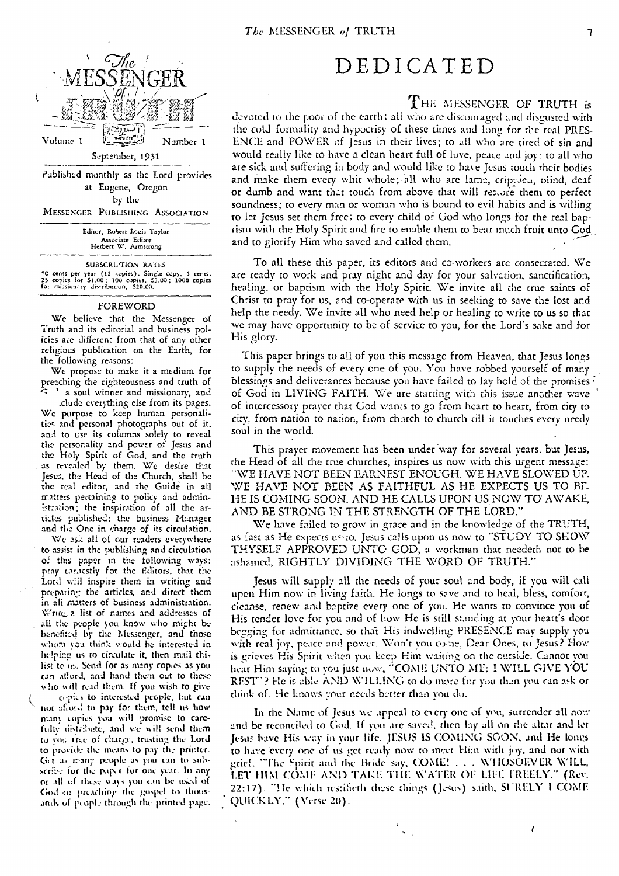

Published monthly as the Lord provides at Eugene, Oregon by the

MESSENGER PUBLISHING ASSOCIATION

Editor, Robert Taylor Associate Editor Herbert W. Armstrong

#### SUBSCRIPTION RATES

<sup>4</sup>0 cents per year (12 copies). Single copy. 5 cents.<br>25 copies for S1.00: 100 copies. 53.00; 1000 copies<br>for missionary dis•ribution, 820.00.

#### FOREWORD

We believe that the Messenger of Truth and its editorial and business policies *are* different from that of any other religious publication on the Earth, for the following reasons:

We propose to make it a medium for preaching the righteousness and truth of

.elude everything else from its pages. We purpose to keep human personalities and personal photographs out of it, and to use its columns solely to reveal *tit::* personality and power of Jesus and the Holy Spirit of God, and the truth as revealed by them. We desire that Jesua, the Head of the Church, shall be the real editor, and the Guide in *all* matters pertaining to policy and administration; the inspiration of all the articles published: the business Manager and the One in charge of its circulation.

We ask all of our readers everywhere to assist in the publishing and circulation of this paper in the following ways: pray earnestly for the editors. that the Lord wiil inspire them in writing and prepating the articles, and direct them in all matters of business administration. Write a list of names and addresses of all the people you know who might be benefited by the Messenger, and those whom you think would be interested in helping us to ciradate it, then mail thi, list to us. Sena for as many copies as you can afford, and hand them out to those who will read them. If you wish to give copies to interested people, but can

not afford to pay for them, tell us how many copies you will promise to carefulty distribute, and we will send them to you free of charge, trusting the Lord<br>to provide the means to pay the printer.<br>Get as many people as you can to sub-<br>seribe for the paper for one year. In any to provide the means to pay the printer.<br>Get as many people as you can to subscribe for the paper for one year. In any or all of these ways you can be used of God *en* preaching the gospel to thousands of prople through the printed page.

### DEDICATED

#### THE MESSENGER OF TRUTH is

devoted to the poor of the earth; all who are discouraged and disgusted with the cold formality and hypocrisy of these times and long for the real PRES-ENCE and POWER of Jesus in their lives; to all who are tired of sin and would really like to have a clean heart full of love, peace and joy: to all who are sick and suffering in body and would like to have Jesus touch their bodies and make them every whit whole; all who are lame, crippied, blind, deaf or dumb and want that couch from above that will rez.,ofe them to perfect soundness; to every man or woman who is bound to evil habits and is willing to let Jesus set them free; to every child of God who longs for the real baptism with the Holy Spirit and fire to enable them to bear much fruit unto God and to glorify Him who saved arid called them.

To all these this paper, its editors and co-workers are consecrated. We are ready to work and pray night and day for your salvation, sanctification, healing, or baptism with the Holy Spirit. We invite all the true saints of Christ to pray for us, and co-operate with us in seeking to save the lost and help the needy. We invite all who need help or healing to write to us so that we may have opportunity to be of service to you, for the Lord's sake and for His glory.

This paper brings to all of you this message from Heaven, that Jesus longs to supply the needs of every one of you. You have robbed yourself of many blessings and deliverances because you have failed to lay hold of the promises  $\ell$ of God in LIVING FAITH. We are starting with this issue another wave of intercessory prayer that God wants to go from heart to heart, from city to city, from nation to nation, from church to church till it touches every needy soul in the world.

This prayer movement has been under way for several years, but Jesus, the Head of all the true churches, inspires us now with this urgent message: "WE HAVE NOT BEEN EARNEST ENOUGH. WE HAVE SLOWED UP. WE HAVE NOT BEEN AS FAITHFUL AS HE EXPECTS US TO BE. HE IS COMING SOON, AND HE CALLS UPON US NOW TO AWAKE, AND BE STRONG IN THE STRENGTH OF THE LORD."

We have failed to grow in grace and in the knowledge of the TRUTH, as fast as He expects us to. Jesus calls upon us now to "STUDY TO SHOW THYSELF APPROVED UNTO GOD, a workman that needeth not to be ashamed, RIGHTLY DIVIDING THE WORD OF TRUTH."

Jesus will supply all the needs of your soul and body, if you will call upon Him now in living faith. He longs to save and to heal, bless, comfort, cleanse, renew and baptize every one of you. He wants to convince you of His tender love for you and of how He is still standing at your heart's door begging for admittance, so that His indwelling PRESENCE may supply you with real joy, peace and power. Won't you come, Dear Ones, to Jesus? How is grieves His Spirit when you keep Him waiting on the outside. Cannot you hear Him saying to you just now, "COME UNTO ME: I WILL GIVE YOU REST. ? He is able AND WILLING to do more *for* you than you ran ask or think of. He knows your needs better than you do.

In the Name of Jesus we appeal to every one of you, surrender all now and be reconciled to God. If you are saved, then lay all on the altar and let Jesus bave His way in your life. JESUS IS COMING SOON, and He longs to have every one of us get ready now to meet Him with joy, and not with grief. "The Spirit and the Bride say, COME! . . . WHOSOEVER WILL, LET HIM COME AND TAKE THE WATER OF LIFE FREELY." (Rev. 22:17). "He which testifieth these things (Jesus) saith, SURELY I COME QUICKLY." (Verse 20).

 $\sqrt{ }$